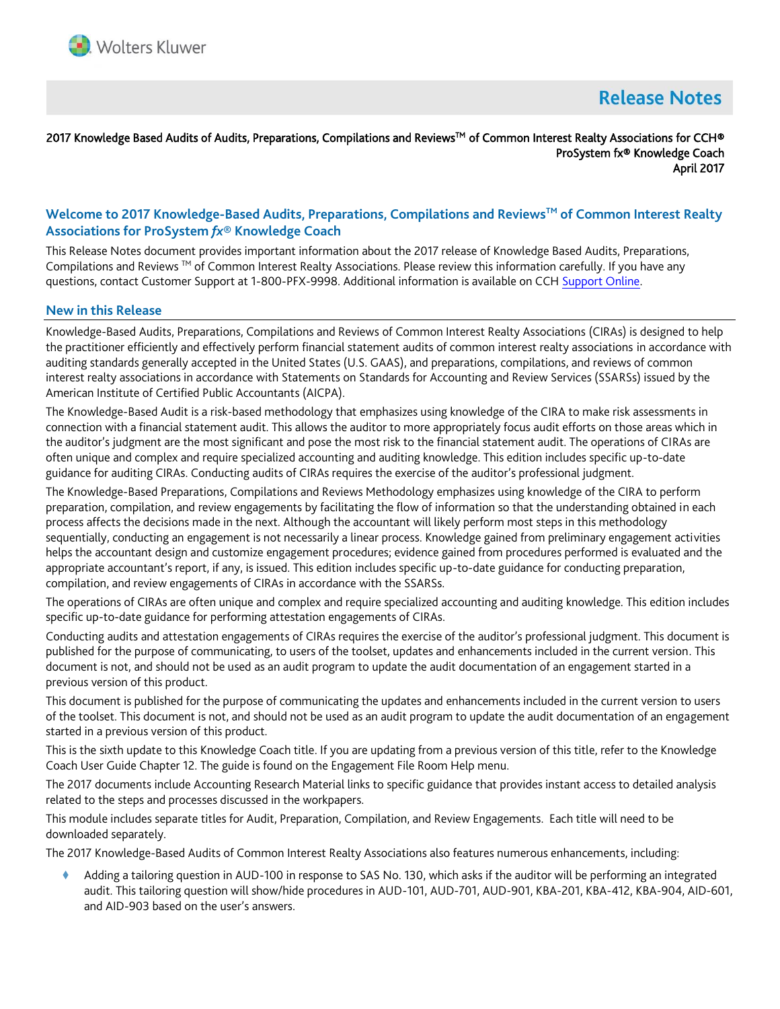

# **Release Notes**

## 2017 Knowledge Based Audits of Audits, Preparations, Compilations and Reviews™ of Common Interest Realty Associations for CCH® ProSystem fx® Knowledge Coach April 2017

# **Welcome to 2017 Knowledge-Based Audits, Preparations, Compilations and ReviewsTM of Common Interest Realty Associations for ProSystem** *fx***® Knowledge Coach**

This Release Notes document provides important information about the 2017 release of Knowledge Based Audits, Preparations, Compilations and Reviews ™ of Common Interest Realty Associations. Please review this information carefully. If you have any questions, contact Customer Support at 1-800-PFX-9998. Additional information is available on CCH [Support Online.](http://support.cch.com/productsupport/)

#### **New in this Release**

Knowledge-Based Audits, Preparations, Compilations and Reviews of Common Interest Realty Associations (CIRAs) is designed to help the practitioner efficiently and effectively perform financial statement audits of common interest realty associations in accordance with auditing standards generally accepted in the United States (U.S. GAAS), and preparations, compilations, and reviews of common interest realty associations in accordance with Statements on Standards for Accounting and Review Services (SSARSs) issued by the American Institute of Certified Public Accountants (AICPA).

The Knowledge-Based Audit is a risk-based methodology that emphasizes using knowledge of the CIRA to make risk assessments in connection with a financial statement audit. This allows the auditor to more appropriately focus audit efforts on those areas which in the auditor's judgment are the most significant and pose the most risk to the financial statement audit. The operations of CIRAs are often unique and complex and require specialized accounting and auditing knowledge. This edition includes specific up-to-date guidance for auditing CIRAs. Conducting audits of CIRAs requires the exercise of the auditor's professional judgment.

The Knowledge-Based Preparations, Compilations and Reviews Methodology emphasizes using knowledge of the CIRA to perform preparation, compilation, and review engagements by facilitating the flow of information so that the understanding obtained in each process affects the decisions made in the next. Although the accountant will likely perform most steps in this methodology sequentially, conducting an engagement is not necessarily a linear process. Knowledge gained from preliminary engagement activities helps the accountant design and customize engagement procedures; evidence gained from procedures performed is evaluated and the appropriate accountant's report, if any, is issued. This edition includes specific up-to-date guidance for conducting preparation, compilation, and review engagements of CIRAs in accordance with the SSARSs.

The operations of CIRAs are often unique and complex and require specialized accounting and auditing knowledge. This edition includes specific up-to-date guidance for performing attestation engagements of CIRAs.

Conducting audits and attestation engagements of CIRAs requires the exercise of the auditor's professional judgment. This document is published for the purpose of communicating, to users of the toolset, updates and enhancements included in the current version. This document is not, and should not be used as an audit program to update the audit documentation of an engagement started in a previous version of this product.

This document is published for the purpose of communicating the updates and enhancements included in the current version to users of the toolset. This document is not, and should not be used as an audit program to update the audit documentation of an engagement started in a previous version of this product.

This is the sixth update to this Knowledge Coach title. If you are updating from a previous version of this title, refer to the Knowledge Coach User Guide Chapter 12. The guide is found on the Engagement File Room Help menu.

The 2017 documents include Accounting Research Material links to specific guidance that provides instant access to detailed analysis related to the steps and processes discussed in the workpapers.

This module includes separate titles for Audit, Preparation, Compilation, and Review Engagements. Each title will need to be downloaded separately.

The 2017 Knowledge-Based Audits of Common Interest Realty Associations also features numerous enhancements, including:

 Adding a tailoring question in AUD-100 in response to SAS No. 130, which asks if the auditor will be performing an integrated audit. This tailoring question will show/hide procedures in AUD-101, AUD-701, AUD-901, KBA-201, KBA-412, KBA-904, AID-601, and AID-903 based on the user's answers.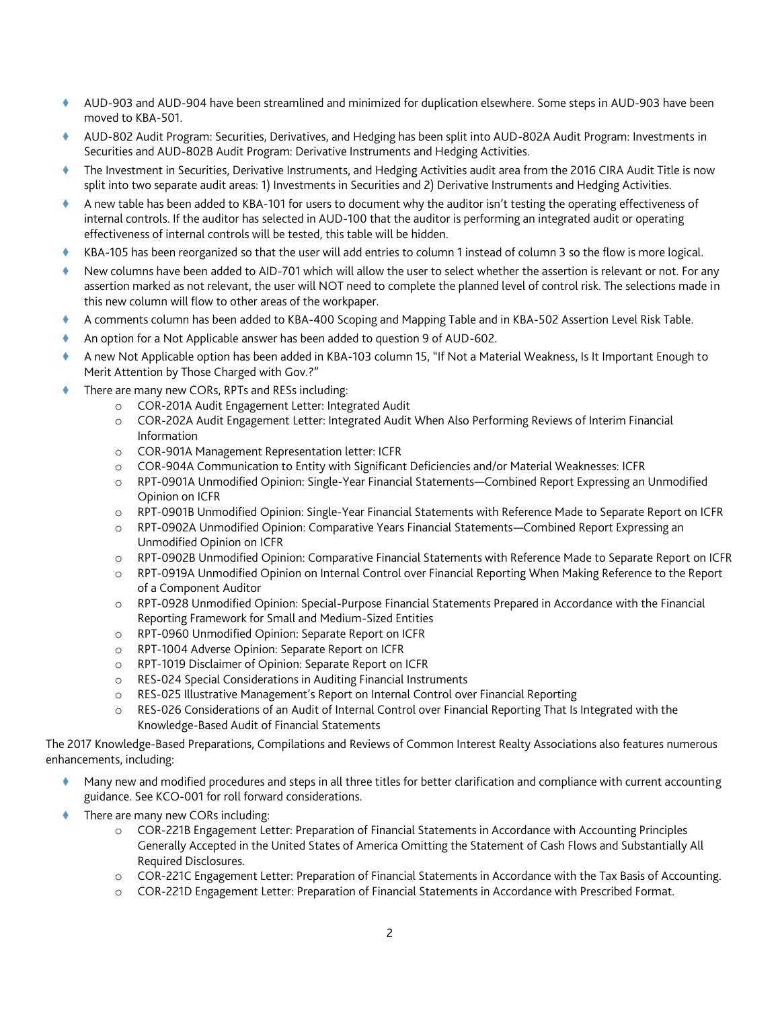- AUD-903 and AUD-904 have been streamlined and minimized for duplication elsewhere. Some steps in AUD-903 have been moved to KBA-501.
- AUD-802 Audit Program: Securities, Derivatives, and Hedging has been split into AUD-802A Audit Program: Investments in Securities and AUD-802B Audit Program: Derivative Instruments and Hedging Activities.
- The Investment in Securities, Derivative Instruments, and Hedging Activities audit area from the 2016 CIRA Audit Title is now split into two separate audit areas: 1) Investments in Securities and 2) Derivative Instruments and Hedging Activities.
- A new table has been added to KBA-101 for users to document why the auditor isn't testing the operating effectiveness of internal controls. If the auditor has selected in AUD-100 that the auditor is performing an integrated audit or operating effectiveness of internal controls will be tested, this table will be hidden.
- KBA-105 has been reorganized so that the user will add entries to column 1 instead of column 3 so the flow is more logical.
- New columns have been added to AID-701 which will allow the user to select whether the assertion is relevant or not. For any assertion marked as not relevant, the user will NOT need to complete the planned level of control risk. The selections made in this new column will flow to other areas of the workpaper.
- A comments column has been added to KBA-400 Scoping and Mapping Table and in KBA-502 Assertion Level Risk Table.
- An option for a Not Applicable answer has been added to question 9 of AUD-602.
- A new Not Applicable option has been added in KBA-103 column 15, "If Not a Material Weakness, Is It Important Enough to Merit Attention by Those Charged with Gov.?"
- There are many new CORs, RPTs and RESs including:
	- o COR-201A Audit Engagement Letter: Integrated Audit
	- o COR-202A Audit Engagement Letter: Integrated Audit When Also Performing Reviews of Interim Financial Information
	- o COR-901A Management Representation letter: ICFR
	- o COR-904A Communication to Entity with Significant Deficiencies and/or Material Weaknesses: ICFR
	- o RPT-0901A Unmodified Opinion: Single-Year Financial Statements—Combined Report Expressing an Unmodified Opinion on ICFR
	- o RPT-0901B Unmodified Opinion: Single-Year Financial Statements with Reference Made to Separate Report on ICFR
	- o RPT-0902A Unmodified Opinion: Comparative Years Financial Statements—Combined Report Expressing an Unmodified Opinion on ICFR
	- o RPT-0902B Unmodified Opinion: Comparative Financial Statements with Reference Made to Separate Report on ICFR
	- o RPT-0919A Unmodified Opinion on Internal Control over Financial Reporting When Making Reference to the Report of a Component Auditor
	- o RPT-0928 Unmodified Opinion: Special-Purpose Financial Statements Prepared in Accordance with the Financial Reporting Framework for Small and Medium-Sized Entities
	- o RPT-0960 Unmodified Opinion: Separate Report on ICFR
	- o RPT-1004 Adverse Opinion: Separate Report on ICFR
	- o RPT-1019 Disclaimer of Opinion: Separate Report on ICFR
	- o RES-024 Special Considerations in Auditing Financial Instruments
	- o RES-025 Illustrative Management's Report on Internal Control over Financial Reporting
	- o RES-026 Considerations of an Audit of Internal Control over Financial Reporting That Is Integrated with the Knowledge-Based Audit of Financial Statements

The 2017 Knowledge-Based Preparations, Compilations and Reviews of Common Interest Realty Associations also features numerous enhancements, including:

- Many new and modified procedures and steps in all three titles for better clarification and compliance with current accounting guidance. See KCO-001 for roll forward considerations.
- There are many new CORs including:
	- o COR-221B Engagement Letter: Preparation of Financial Statements in Accordance with Accounting Principles Generally Accepted in the United States of America Omitting the Statement of Cash Flows and Substantially All Required Disclosures.
	- o COR-221C Engagement Letter: Preparation of Financial Statements in Accordance with the Tax Basis of Accounting.
	- o COR-221D Engagement Letter: Preparation of Financial Statements in Accordance with Prescribed Format.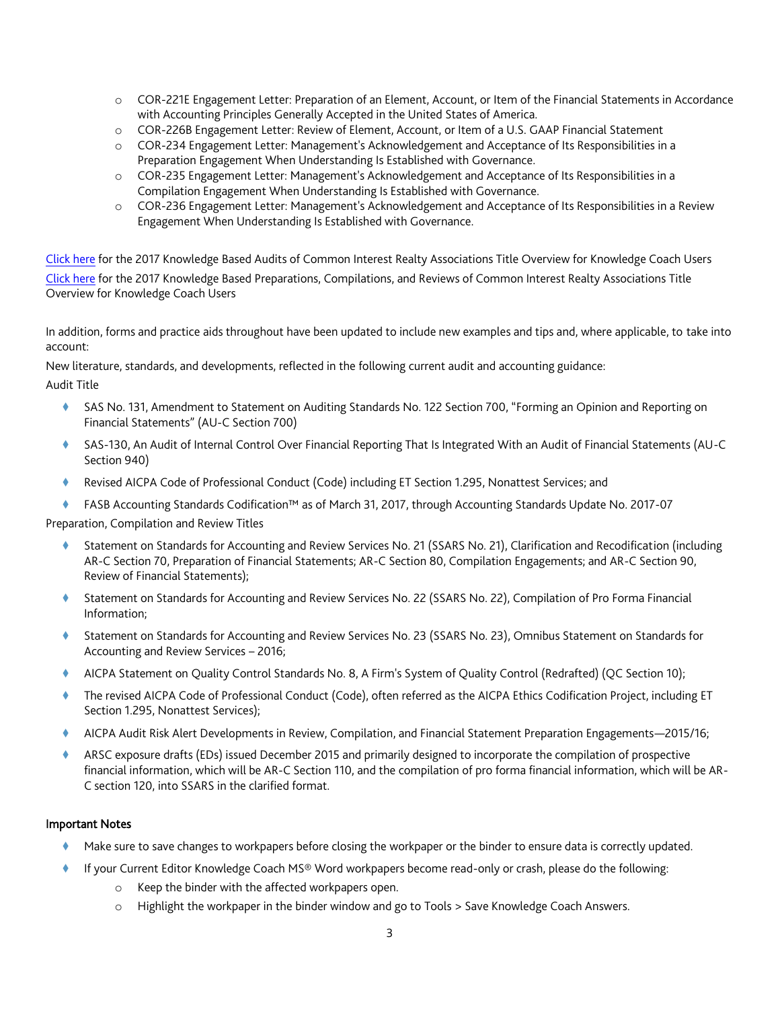- o COR-221E Engagement Letter: Preparation of an Element, Account, or Item of the Financial Statements in Accordance with Accounting Principles Generally Accepted in the United States of America.
- o COR-226B Engagement Letter: Review of Element, Account, or Item of a U.S. GAAP Financial Statement
- o COR-234 Engagement Letter: Management's Acknowledgement and Acceptance of Its Responsibilities in a Preparation Engagement When Understanding Is Established with Governance.
- o COR-235 Engagement Letter: Management's Acknowledgement and Acceptance of Its Responsibilities in a Compilation Engagement When Understanding Is Established with Governance.
- o COR-236 Engagement Letter: Management's Acknowledgement and Acceptance of Its Responsibilities in a Review Engagement When Understanding Is Established with Governance.

[Click here](https://support.cch.com/updates/knowledgecoach/pdf/guides_tab/2017%20CIRA%20Audit%20Title%20Overview%20for%20Knowledge%20Coach%20Users.pdf) for the 2017 Knowledge Based Audits of Common Interest Realty Associations Title Overview for Knowledge Coach Users [Click here](https://support.cch.com/updates/knowledgecoach/pdf/guides_tab/2017%20CIRA%20PCR%20Title%20Overview%20for%20Knowledge%20Coach%20Users.pdf) for the 2017 Knowledge Based Preparations, Compilations, and Reviews of Common Interest Realty Associations Title Overview for Knowledge Coach Users

In addition, forms and practice aids throughout have been updated to include new examples and tips and, where applicable, to take into account:

New literature, standards, and developments, reflected in the following current audit and accounting guidance:

Audit Title

- SAS No. 131, Amendment to Statement on Auditing Standards No. 122 Section 700, "Forming an Opinion and Reporting on Financial Statements" (AU-C Section 700)
- SAS-130, An Audit of Internal Control Over Financial Reporting That Is Integrated With an Audit of Financial Statements (AU-C Section 940)
- Revised AICPA Code of Professional Conduct (Code) including ET Section 1.295, Nonattest Services; and
- FASB Accounting Standards Codification™ as of March 31, 2017, through Accounting Standards Update No. 2017-07

Preparation, Compilation and Review Titles

- Statement on Standards for Accounting and Review Services No. 21 (SSARS No. 21), Clarification and Recodification (including AR-C Section 70, Preparation of Financial Statements; AR-C Section 80, Compilation Engagements; and AR-C Section 90, Review of Financial Statements);
- Statement on Standards for Accounting and Review Services No. 22 (SSARS No. 22), Compilation of Pro Forma Financial Information;
- Statement on Standards for Accounting and Review Services No. 23 (SSARS No. 23), Omnibus Statement on Standards for Accounting and Review Services – 2016;
- AICPA Statement on Quality Control Standards No. 8, A Firm's System of Quality Control (Redrafted) (QC Section 10);
- The revised AICPA Code of Professional Conduct (Code), often referred as the AICPA Ethics Codification Project, including ET Section 1.295, Nonattest Services);
- AICPA Audit Risk Alert Developments in Review, Compilation, and Financial Statement Preparation Engagements—2015/16;
- ARSC exposure drafts (EDs) issued December 2015 and primarily designed to incorporate the compilation of prospective financial information, which will be AR-C Section 110, and the compilation of pro forma financial information, which will be AR-C section 120, into SSARS in the clarified format.

## Important Notes

- Make sure to save changes to workpapers before closing the workpaper or the binder to ensure data is correctly updated.
- If your Current Editor Knowledge Coach MS® Word workpapers become read-only or crash, please do the following:
	- o Keep the binder with the affected workpapers open.
	- o Highlight the workpaper in the binder window and go to Tools > Save Knowledge Coach Answers.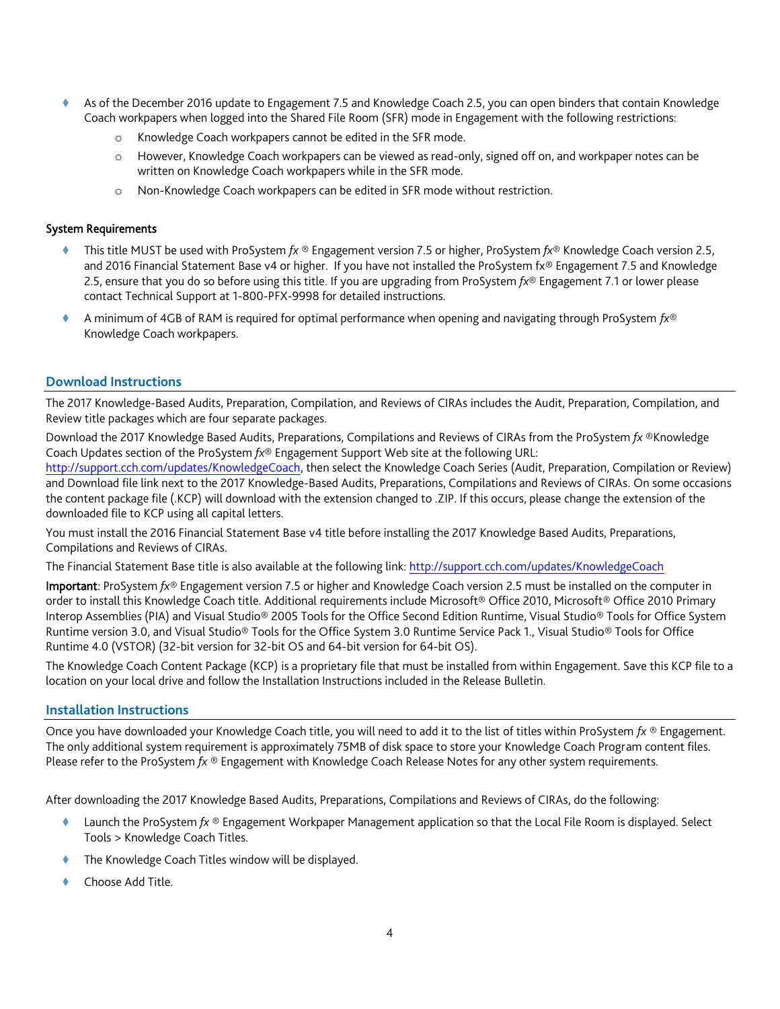- As of the December 2016 update to Engagement 7.5 and Knowledge Coach 2.5, you can open binders that contain Knowledge Coach workpapers when logged into the Shared File Room (SFR) mode in Engagement with the following restrictions:
	- Knowledge Coach workpapers cannot be edited in the SFR mode.
	- o However, Knowledge Coach workpapers can be viewed as read-only, signed off on, and workpaper notes can be written on Knowledge Coach workpapers while in the SFR mode.
	- o Non-Knowledge Coach workpapers can be edited in SFR mode without restriction.

## System Requirements

- This title MUST be used with ProSystem *fx* ® Engagement version 7.5 or higher, ProSystem *fx*® Knowledge Coach version 2.5, and 2016 Financial Statement Base v4 or higher. If you have not installed the ProSystem fx® Engagement 7.5 and Knowledge 2.5, ensure that you do so before using this title. If you are upgrading from ProSystem *fx*® Engagement 7.1 or lower please contact Technical Support at 1-800-PFX-9998 for detailed instructions.
- A minimum of 4GB of RAM is required for optimal performance when opening and navigating through ProSystem *fx*® Knowledge Coach workpapers.

## **Download Instructions**

The 2017 Knowledge-Based Audits, Preparation, Compilation, and Reviews of CIRAs includes the Audit, Preparation, Compilation, and Review title packages which are four separate packages.

Download the 2017 Knowledge Based Audits, Preparations, Compilations and Reviews of CIRAs from the ProSystem *fx* ®Knowledge Coach Updates section of the ProSystem *fx*® Engagement Support Web site at the following URL:

[http://support.cch.com/updates/KnowledgeCoach,](http://support.cch.com/updates/KnowledgeCoach) then select the Knowledge Coach Series (Audit, Preparation, Compilation or Review) and Download file link next to the 2017 Knowledge-Based Audits, Preparations, Compilations and Reviews of CIRAs. On some occasions the content package file (.KCP) will download with the extension changed to .ZIP. If this occurs, please change the extension of the downloaded file to KCP using all capital letters.

You must install the 2016 Financial Statement Base v4 title before installing the 2017 Knowledge Based Audits, Preparations, Compilations and Reviews of CIRAs.

The Financial Statement Base title is also available at the following link:<http://support.cch.com/updates/KnowledgeCoach>

Important: ProSystem *fx*® Engagement version 7.5 or higher and Knowledge Coach version 2.5 must be installed on the computer in order to install this Knowledge Coach title. Additional requirements include Microsoft® Office 2010, Microsoft® Office 2010 Primary Interop Assemblies (PIA) and Visual Studio® 2005 Tools for the Office Second Edition Runtime, Visual Studio® Tools for Office System Runtime version 3.0, and Visual Studio® Tools for the Office System 3.0 Runtime Service Pack 1., Visual Studio® Tools for Office Runtime 4.0 (VSTOR) (32-bit version for 32-bit OS and 64-bit version for 64-bit OS).

The Knowledge Coach Content Package (KCP) is a proprietary file that must be installed from within Engagement. Save this KCP file to a location on your local drive and follow the Installation Instructions included in the Release Bulletin.

#### **Installation Instructions**

Once you have downloaded your Knowledge Coach title, you will need to add it to the list of titles within ProSystem *fx* ® Engagement. The only additional system requirement is approximately 75MB of disk space to store your Knowledge Coach Program content files. Please refer to the ProSystem *fx* ® Engagement with Knowledge Coach Release Notes for any other system requirements.

After downloading the 2017 Knowledge Based Audits, Preparations, Compilations and Reviews of CIRAs, do the following:

- Launch the ProSystem *fx* ® Engagement Workpaper Management application so that the Local File Room is displayed. Select Tools > Knowledge Coach Titles.
- The Knowledge Coach Titles window will be displayed.
- Choose Add Title.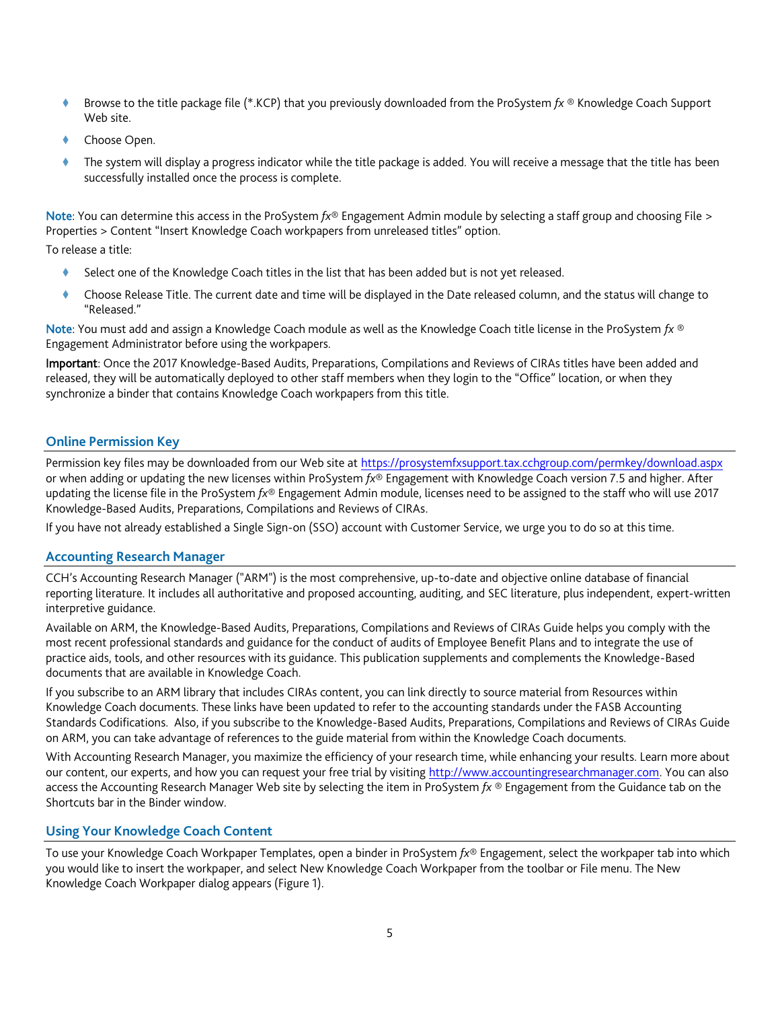- Browse to the title package file (\*.KCP) that you previously downloaded from the ProSystem *fx* ® Knowledge Coach Support Web site.
- Choose Open.
- The system will display a progress indicator while the title package is added. You will receive a message that the title has been successfully installed once the process is complete.

Note: You can determine this access in the ProSystem *fx*® Engagement Admin module by selecting a staff group and choosing File > Properties > Content "Insert Knowledge Coach workpapers from unreleased titles" option.

To release a title:

- Select one of the Knowledge Coach titles in the list that has been added but is not yet released.
- Choose Release Title. The current date and time will be displayed in the Date released column, and the status will change to "Released."

Note: You must add and assign a Knowledge Coach module as well as the Knowledge Coach title license in the ProSystem *fx* ® Engagement Administrator before using the workpapers.

Important: Once the 2017 Knowledge-Based Audits, Preparations, Compilations and Reviews of CIRAs titles have been added and released, they will be automatically deployed to other staff members when they login to the "Office" location, or when they synchronize a binder that contains Knowledge Coach workpapers from this title.

## **Online Permission Key**

Permission key files may be downloaded from our Web site a[t https://prosystemfxsupport.tax.cchgroup.com/permkey/download.aspx](https://prosystemfxsupport.tax.cchgroup.com/permkey/download.aspx) or when adding or updating the new licenses within ProSystem *fx*® Engagement with Knowledge Coach version 7.5 and higher. After updating the license file in the ProSystem *fx*® Engagement Admin module, licenses need to be assigned to the staff who will use 2017 Knowledge-Based Audits, Preparations, Compilations and Reviews of CIRAs.

If you have not already established a Single Sign-on (SSO) account with Customer Service, we urge you to do so at this time.

#### **Accounting Research Manager**

CCH's Accounting Research Manager ("ARM") is the most comprehensive, up-to-date and objective online database of financial reporting literature. It includes all authoritative and proposed accounting, auditing, and SEC literature, plus independent, expert-written interpretive guidance.

Available on ARM, the Knowledge-Based Audits, Preparations, Compilations and Reviews of CIRAs Guide helps you comply with the most recent professional standards and guidance for the conduct of audits of Employee Benefit Plans and to integrate the use of practice aids, tools, and other resources with its guidance. This publication supplements and complements the Knowledge-Based documents that are available in Knowledge Coach.

If you subscribe to an ARM library that includes CIRAs content, you can link directly to source material from Resources within Knowledge Coach documents. These links have been updated to refer to the accounting standards under the FASB Accounting Standards Codifications. Also, if you subscribe to the Knowledge-Based Audits, Preparations, Compilations and Reviews of CIRAs Guide on ARM, you can take advantage of references to the guide material from within the Knowledge Coach documents.

With Accounting Research Manager, you maximize the efficiency of your research time, while enhancing your results. Learn more about our content, our experts, and how you can request your free trial by visiting [http://www.accountingresearchmanager.com.](http://www.accountingresearchmanager.com/) You can also access the Accounting Research Manager Web site by selecting the item in ProSystem *fx* ® Engagement from the Guidance tab on the Shortcuts bar in the Binder window.

## **Using Your Knowledge Coach Content**

To use your Knowledge Coach Workpaper Templates, open a binder in ProSystem *fx*® Engagement, select the workpaper tab into which you would like to insert the workpaper, and select New Knowledge Coach Workpaper from the toolbar or File menu. The New Knowledge Coach Workpaper dialog appears (Figure 1).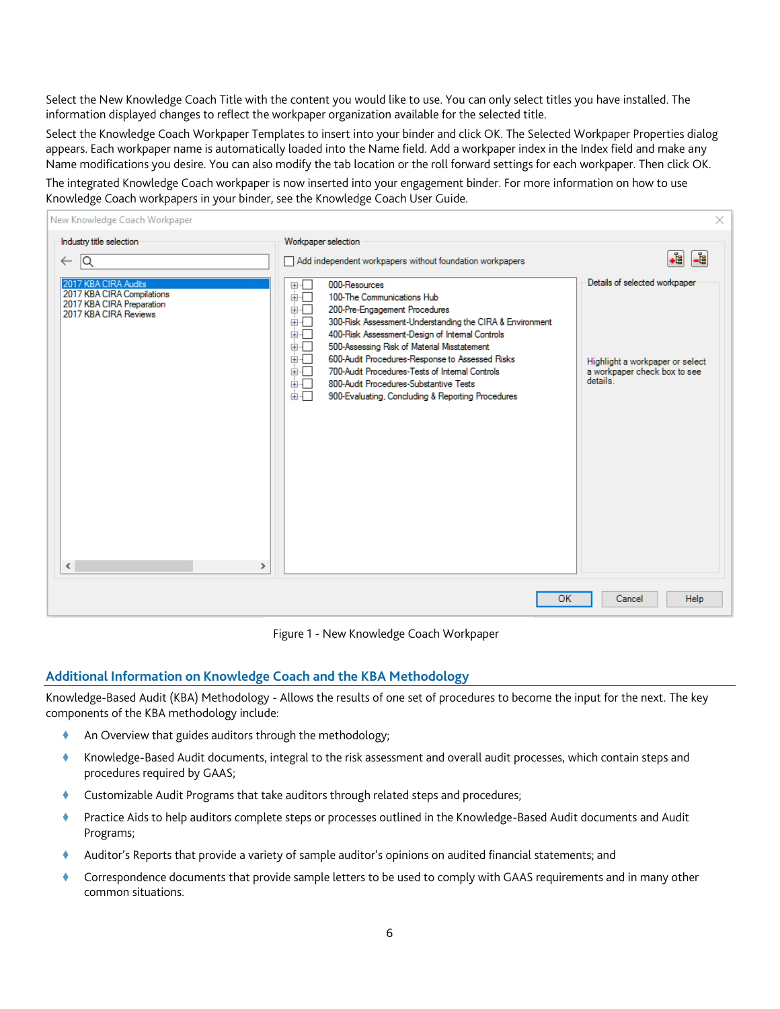Select the New Knowledge Coach Title with the content you would like to use. You can only select titles you have installed. The information displayed changes to reflect the workpaper organization available for the selected title.

Select the Knowledge Coach Workpaper Templates to insert into your binder and click OK. The Selected Workpaper Properties dialog appears. Each workpaper name is automatically loaded into the Name field. Add a workpaper index in the Index field and make any Name modifications you desire. You can also modify the tab location or the roll forward settings for each workpaper. Then click OK.

The integrated Knowledge Coach workpaper is now inserted into your engagement binder. For more information on how to use Knowledge Coach workpapers in your binder, see the Knowledge Coach User Guide.

| New Knowledge Coach Workpaper                                                                                                          |                                                                                                                                                                                                                                                                                                                                                                                                                                                                                                               | $\times$                                                                                                     |
|----------------------------------------------------------------------------------------------------------------------------------------|---------------------------------------------------------------------------------------------------------------------------------------------------------------------------------------------------------------------------------------------------------------------------------------------------------------------------------------------------------------------------------------------------------------------------------------------------------------------------------------------------------------|--------------------------------------------------------------------------------------------------------------|
| Industry title selection<br>$\overline{\mathsf{Q}}$<br>$\leftarrow$                                                                    | Workpaper selection<br>Add independent workpapers without foundation workpapers                                                                                                                                                                                                                                                                                                                                                                                                                               | ∙È<br>-ট্র                                                                                                   |
| 2017 KBA CIRA Audits<br>2017 KBA CIRA Compilations<br>2017 KBA CIRA Preparation<br>2017 KBA CIRA Reviews<br>$\langle$<br>$\rightarrow$ | 000-Resources<br>田市<br>के⊹⊟<br>100-The Communications Hub<br>க்ர<br>200-Pre-Engagement Procedures<br>300-Risk Assessment-Understanding the CIRA & Environment<br>ங்⊦⊡<br>400-Risk Assessment-Design of Internal Controls<br>Ė⊡<br>500-Assessing Risk of Material Misstatement<br>面一<br>600-Audit Procedures-Response to Assessed Risks<br>面一<br>700-Audit Procedures-Tests of Internal Controls<br>∔⊦⊡<br>800-Audit Procedures-Substantive Tests<br>के⊹⊟<br>900-Evaluating, Concluding & Reporting Procedures | Details of selected workpaper<br>Highlight a workpaper or select<br>a workpaper check box to see<br>details. |
|                                                                                                                                        | <b>OK</b>                                                                                                                                                                                                                                                                                                                                                                                                                                                                                                     | Help<br>Cancel                                                                                               |

Figure 1 - New Knowledge Coach Workpaper

# **Additional Information on Knowledge Coach and the KBA Methodology**

Knowledge-Based Audit (KBA) Methodology - Allows the results of one set of procedures to become the input for the next. The key components of the KBA methodology include:

- An Overview that guides auditors through the methodology;
- Knowledge-Based Audit documents, integral to the risk assessment and overall audit processes, which contain steps and procedures required by GAAS;
- Customizable Audit Programs that take auditors through related steps and procedures;
- Practice Aids to help auditors complete steps or processes outlined in the Knowledge-Based Audit documents and Audit Programs;
- Auditor's Reports that provide a variety of sample auditor's opinions on audited financial statements; and
- Correspondence documents that provide sample letters to be used to comply with GAAS requirements and in many other common situations.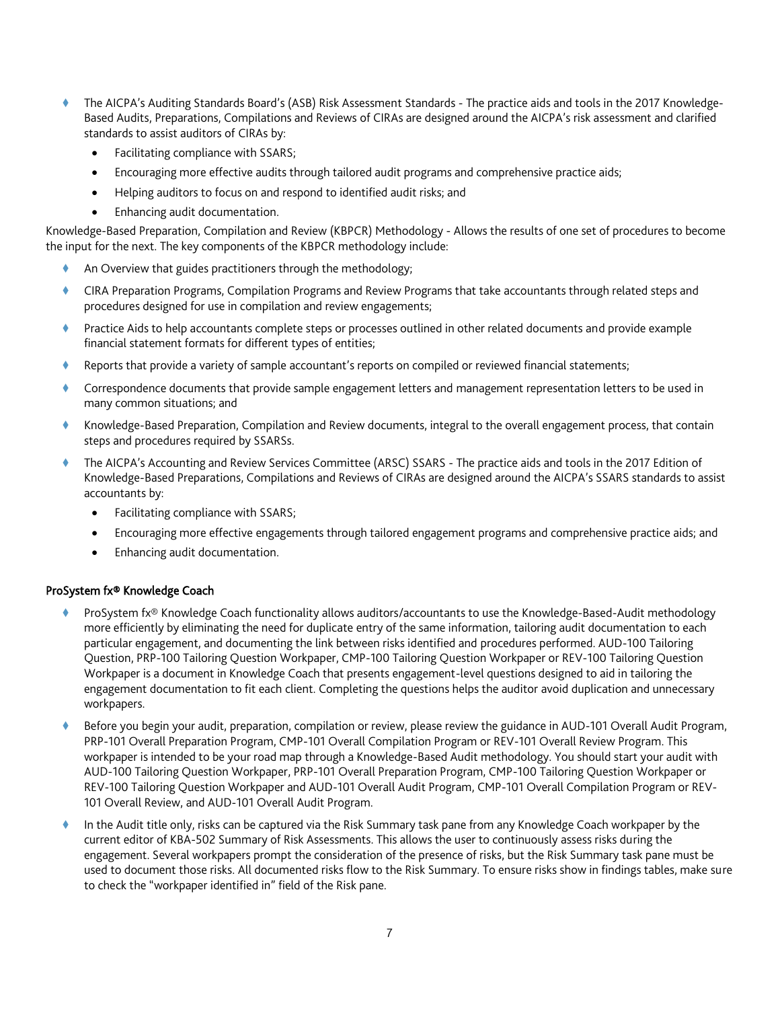- The AICPA's Auditing Standards Board's (ASB) Risk Assessment Standards The practice aids and tools in the 2017 Knowledge-Based Audits, Preparations, Compilations and Reviews of CIRAs are designed around the AICPA's risk assessment and clarified standards to assist auditors of CIRAs by:
	- Facilitating compliance with SSARS;
	- Encouraging more effective audits through tailored audit programs and comprehensive practice aids;
	- Helping auditors to focus on and respond to identified audit risks; and
	- Enhancing audit documentation.

Knowledge-Based Preparation, Compilation and Review (KBPCR) Methodology - Allows the results of one set of procedures to become the input for the next. The key components of the KBPCR methodology include:

- An Overview that guides practitioners through the methodology;
- CIRA Preparation Programs, Compilation Programs and Review Programs that take accountants through related steps and procedures designed for use in compilation and review engagements;
- Practice Aids to help accountants complete steps or processes outlined in other related documents and provide example financial statement formats for different types of entities;
- Reports that provide a variety of sample accountant's reports on compiled or reviewed financial statements;
- Correspondence documents that provide sample engagement letters and management representation letters to be used in many common situations; and
- Knowledge-Based Preparation, Compilation and Review documents, integral to the overall engagement process, that contain steps and procedures required by SSARSs.
- The AICPA's Accounting and Review Services Committee (ARSC) SSARS The practice aids and tools in the 2017 Edition of Knowledge-Based Preparations, Compilations and Reviews of CIRAs are designed around the AICPA's SSARS standards to assist accountants by:
	- Facilitating compliance with SSARS;
	- Encouraging more effective engagements through tailored engagement programs and comprehensive practice aids; and
	- Enhancing audit documentation.

## ProSystem fx® Knowledge Coach

- ProSystem fx® Knowledge Coach functionality allows auditors/accountants to use the Knowledge-Based-Audit methodology more efficiently by eliminating the need for duplicate entry of the same information, tailoring audit documentation to each particular engagement, and documenting the link between risks identified and procedures performed. AUD-100 Tailoring Question, PRP-100 Tailoring Question Workpaper, CMP-100 Tailoring Question Workpaper or REV-100 Tailoring Question Workpaper is a document in Knowledge Coach that presents engagement-level questions designed to aid in tailoring the engagement documentation to fit each client. Completing the questions helps the auditor avoid duplication and unnecessary workpapers.
- Before you begin your audit, preparation, compilation or review, please review the guidance in AUD-101 Overall Audit Program, PRP-101 Overall Preparation Program, CMP-101 Overall Compilation Program or REV-101 Overall Review Program. This workpaper is intended to be your road map through a Knowledge-Based Audit methodology. You should start your audit with AUD-100 Tailoring Question Workpaper, PRP-101 Overall Preparation Program, CMP-100 Tailoring Question Workpaper or REV-100 Tailoring Question Workpaper and AUD-101 Overall Audit Program, CMP-101 Overall Compilation Program or REV-101 Overall Review, and AUD-101 Overall Audit Program.
- In the Audit title only, risks can be captured via the Risk Summary task pane from any Knowledge Coach workpaper by the current editor of KBA-502 Summary of Risk Assessments. This allows the user to continuously assess risks during the engagement. Several workpapers prompt the consideration of the presence of risks, but the Risk Summary task pane must be used to document those risks. All documented risks flow to the Risk Summary. To ensure risks show in findings tables, make sure to check the "workpaper identified in" field of the Risk pane.